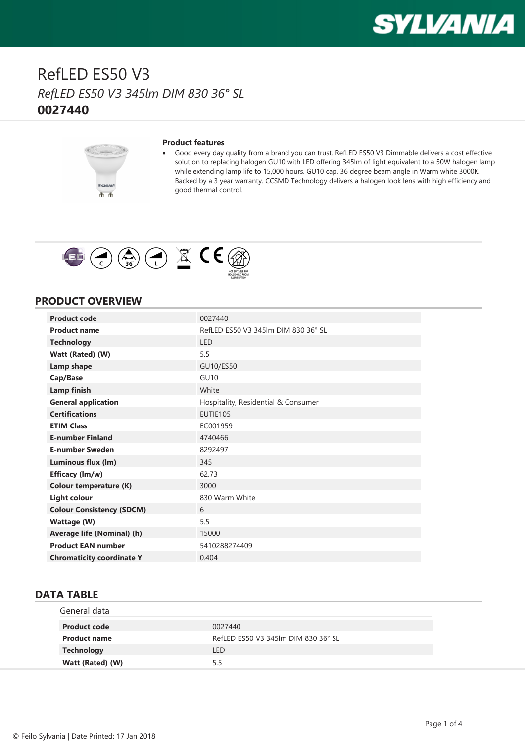



#### **Product features**

· Good every day quality from a brand you can trust. RefLED ES50 V3 Dimmable delivers a cost effective solution to replacing halogen GU10 with LED offering 345lm of light equivalent to a 50W halogen lamp while extending lamp life to 15,000 hours. GU10 cap. 36 degree beam angle in Warm white 3000K. Backed by a 3 year warranty. CCSMD Technology delivers a halogen look lens with high efficiency and good thermal control.



#### **PRODUCT OVERVIEW**

| <b>Product code</b>              | 0027440                              |
|----------------------------------|--------------------------------------|
| <b>Product name</b>              | RefLED ES50 V3 345 lm DIM 830 36° SL |
| <b>Technology</b>                | LED                                  |
| Watt (Rated) (W)                 | 5.5                                  |
| Lamp shape                       | GU10/ES50                            |
| Cap/Base                         | <b>GU10</b>                          |
| <b>Lamp finish</b>               | White                                |
| <b>General application</b>       | Hospitality, Residential & Consumer  |
| <b>Certifications</b>            | EUTIE105                             |
| <b>ETIM Class</b>                | EC001959                             |
| <b>E-number Finland</b>          | 4740466                              |
| <b>E-number Sweden</b>           | 8292497                              |
| Luminous flux (lm)               | 345                                  |
| Efficacy (Im/w)                  | 62.73                                |
| <b>Colour temperature (K)</b>    | 3000                                 |
| <b>Light colour</b>              | 830 Warm White                       |
| <b>Colour Consistency (SDCM)</b> | 6                                    |
| <b>Wattage (W)</b>               | 5.5                                  |
| Average life (Nominal) (h)       | 15000                                |
| <b>Product EAN number</b>        | 5410288274409                        |
| <b>Chromaticity coordinate Y</b> | 0.404                                |

### **DATA TABLE**

| General data        |                                     |
|---------------------|-------------------------------------|
| <b>Product code</b> | 0027440                             |
| <b>Product name</b> | RefLED ES50 V3 345 m DIM 830 36° SL |
| <b>Technology</b>   | <b>LED</b>                          |
| Watt (Rated) (W)    | 5.5                                 |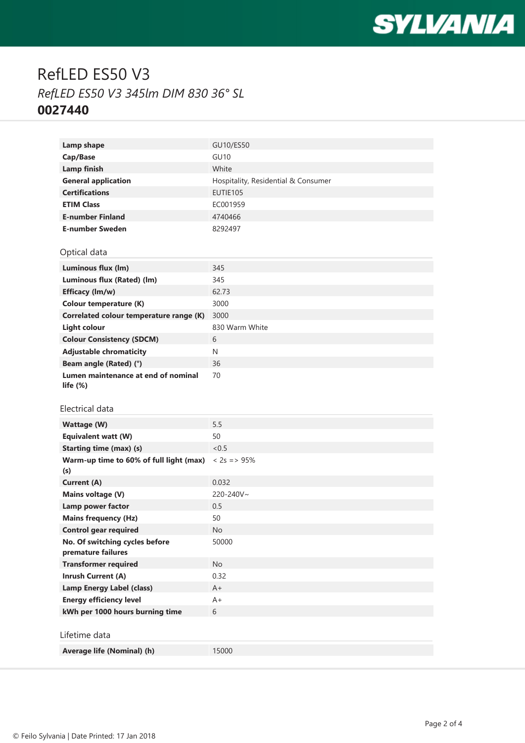

| Lamp shape                                           | GU10/ES50                           |
|------------------------------------------------------|-------------------------------------|
| Cap/Base                                             | <b>GU10</b>                         |
| <b>Lamp finish</b>                                   | White                               |
| <b>General application</b>                           | Hospitality, Residential & Consumer |
| <b>Certifications</b>                                | EUTIE105                            |
| <b>ETIM Class</b>                                    | EC001959                            |
| <b>E-number Finland</b>                              | 4740466                             |
| <b>E-number Sweden</b>                               | 8292497                             |
|                                                      |                                     |
| Optical data                                         |                                     |
| Luminous flux (lm)                                   | 345                                 |
| Luminous flux (Rated) (lm)                           | 345                                 |
| Efficacy (lm/w)                                      | 62.73                               |
| <b>Colour temperature (K)</b>                        | 3000                                |
| Correlated colour temperature range (K)              | 3000                                |
| <b>Light colour</b>                                  | 830 Warm White                      |
| <b>Colour Consistency (SDCM)</b>                     | 6                                   |
| <b>Adjustable chromaticity</b>                       | N                                   |
| Beam angle (Rated) (°)                               | 36                                  |
| Lumen maintenance at end of nominal                  | 70                                  |
| life $(\%)$                                          |                                     |
|                                                      |                                     |
|                                                      |                                     |
| Electrical data                                      |                                     |
| <b>Wattage (W)</b>                                   | 5.5                                 |
| <b>Equivalent watt (W)</b>                           | 50                                  |
| <b>Starting time (max) (s)</b>                       | <0.5                                |
| Warm-up time to 60% of full light (max)              | $< 2s = > 95\%$                     |
| (s)                                                  |                                     |
| <b>Current (A)</b>                                   | 0.032                               |
| Mains voltage (V)                                    | 220-240V~                           |
| Lamp power factor                                    | 0.5                                 |
| <b>Mains frequency (Hz)</b>                          | 50                                  |
| <b>Control gear required</b>                         | No                                  |
| No. Of switching cycles before<br>premature failures | 50000                               |
| <b>Transformer required</b>                          | No                                  |
| <b>Inrush Current (A)</b>                            | 0.32                                |
| <b>Lamp Energy Label (class)</b>                     | A+                                  |
| <b>Energy efficiency level</b>                       | A+                                  |
| kWh per 1000 hours burning time                      | 6                                   |
|                                                      |                                     |
| Lifetime data                                        |                                     |
| Average life (Nominal) (h)                           | 15000                               |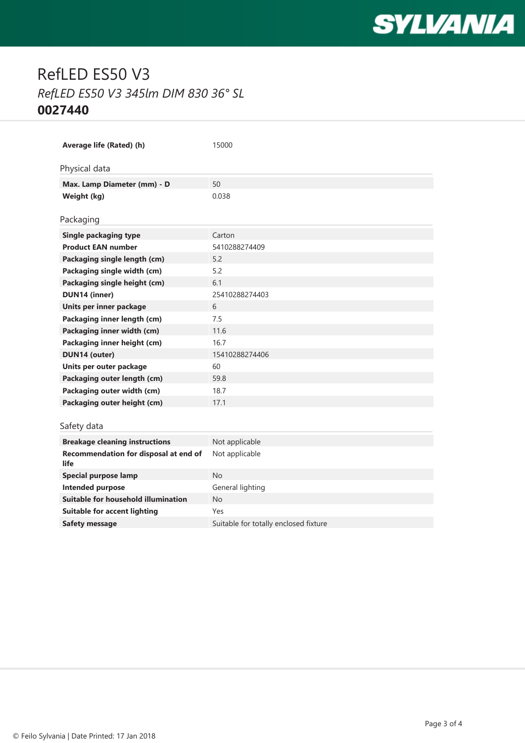

| Average life (Rated) (h)                      | 15000                                 |
|-----------------------------------------------|---------------------------------------|
| Physical data                                 |                                       |
| Max. Lamp Diameter (mm) - D                   | 50                                    |
| Weight (kg)                                   | 0.038                                 |
|                                               |                                       |
| Packaging                                     |                                       |
| <b>Single packaging type</b>                  | Carton                                |
| <b>Product EAN number</b>                     | 5410288274409                         |
| Packaging single length (cm)                  | 52                                    |
| Packaging single width (cm)                   | 5.2                                   |
| Packaging single height (cm)                  | 6.1                                   |
| <b>DUN14 (inner)</b>                          | 25410288274403                        |
| Units per inner package                       | 6                                     |
| Packaging inner length (cm)                   | 7.5                                   |
| Packaging inner width (cm)                    | 11.6                                  |
| Packaging inner height (cm)                   | 16.7                                  |
| <b>DUN14 (outer)</b>                          | 15410288274406                        |
| Units per outer package                       | 60                                    |
| Packaging outer length (cm)                   | 59.8                                  |
| Packaging outer width (cm)                    | 18.7                                  |
| Packaging outer height (cm)                   | 17.1                                  |
|                                               |                                       |
| Safety data                                   |                                       |
| <b>Breakage cleaning instructions</b>         | Not applicable                        |
| Recommendation for disposal at end of<br>life | Not applicable                        |
| <b>Special purpose lamp</b>                   | <b>No</b>                             |
| Intended purpose                              | General lighting                      |
| Suitable for household illumination           | <b>No</b>                             |
| <b>Suitable for accent lighting</b>           | Yes                                   |
| <b>Safety message</b>                         | Suitable for totally enclosed fixture |